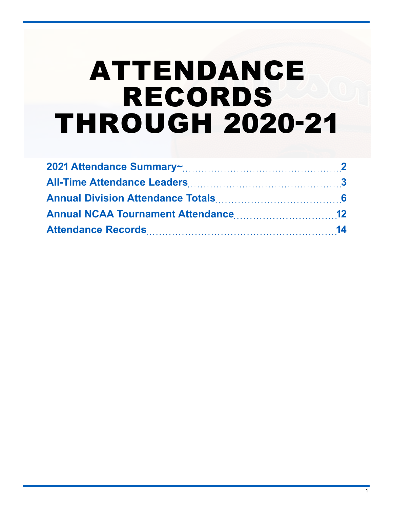# ATTENDANCE RECORDS THROUGH 2020-21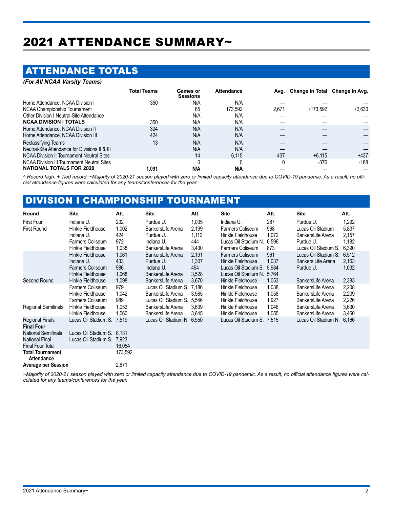# <span id="page-1-0"></span>2021 ATTENDANCE SUMMARY~

### ATTENDANCE TOTALS

| (For All NCAA Varsity Teams)                     |                    |                             |                   |       |                                     |          |
|--------------------------------------------------|--------------------|-----------------------------|-------------------|-------|-------------------------------------|----------|
|                                                  | <b>Total Teams</b> | Games or<br><b>Sessions</b> | <b>Attendance</b> |       | Avg. Change in Total Change in Avg. |          |
| Home Attendance, NCAA Division I                 | 350                | N/A                         | N/A               |       |                                     |          |
| NCAA Championship Tournament                     |                    | 65                          | 173.592           | 2.671 | +173.592                            | $+2,630$ |
| Other Division I Neutral-Site Attendance         |                    | N/A                         | N/A               |       |                                     |          |
| <b>NCAA DIVISION I TOTALS</b>                    | 350                | N/A                         | N/A               |       |                                     |          |
| Home Attendance, NCAA Division II                | 304                | N/A                         | N/A               |       |                                     |          |
| Home Attendance, NCAA Division III               | 424                | N/A                         | N/A               |       |                                     |          |
| Reclassifying Teams                              | 13                 | N/A                         | N/A               |       |                                     |          |
| Neutral-Site Attendance for Divisions II & III   |                    | N/A                         | N/A               |       |                                     |          |
| <b>NCAA Division II Tournament Neutral Sites</b> |                    | 14                          | 6.115             | 437   | $+6.115$                            | $+437$   |
| NCAA Division III Tournament Neutral Sites       |                    |                             |                   | 0     | $-376$                              | $-188$   |
| <b>NATIONAL TOTALS FOR 2020</b>                  | 1.091              | N/A                         | N/A               |       |                                     |          |

*^ Record high. + Tied record; ~Majority of 2020-21 season played with zero or limited capacity attendance due to COVID-19 pandemic. As a result, no official attendance figures were calculated for any teams/conferences for the year.*

### DIVISION I CHAMPIONSHIP TOURNAMENT

| Round                                        | <b>Site</b>                | Att.    | Site                 | Att.  | <b>Site</b>                | Att.  | Site                 | Att.  |
|----------------------------------------------|----------------------------|---------|----------------------|-------|----------------------------|-------|----------------------|-------|
| <b>First Four</b>                            | Indiana U.                 | 232     | Purdue U.            | 1,035 | Indiana U.                 | 287   | Purdue U.            | 1,292 |
| <b>First Round</b>                           | Hinkle Fieldhouse          | 1,002   | BankersLife Arena    | 2,199 | Farmers Coliseum           | 968   | Lucas Oil Stadium    | 5,837 |
|                                              | Indiana U.                 | 424     | Purdue U.            | 1,112 | Hinkle Fieldhouse          | 1,072 | BankersLife Arena    | 2,157 |
|                                              | Farmers Coliseum           | 972     | Indiana U.           | 444   | Lucas Oil Stadium N. 6.596 |       | Purdue U.            | 1,182 |
|                                              | Hinkle Fieldhouse          | 1,038   | BankersLife Arena    | 3,430 | Farmers Coliseum           | 873   | Lucas Oil Stadium S. | 6,390 |
|                                              | Hinkle Fieldhouse          | 1,061   | BankersLife Arena    | 2,191 | Farmers Coliseum           | 961   | Lucas Oil Stadium S. | 6.512 |
|                                              | Indiana U.                 | 433     | Purdue U.            | 1,307 | Hinkle Fieldhouse          | 1,037 | Bankers Life Arena   | 2,163 |
|                                              | <b>Farmers Coliseum</b>    | 986     | Indiana U.           | 454   | Lucas Oil Stadium S.       | 5,984 | Purdue U.            | 1,032 |
|                                              | Hinkle Fieldhouse          | 1,068   | BankersLife Arena    | 3,528 | Lucas Oil Stadium N. 5,764 |       |                      |       |
| Second Round                                 | Hinkle Fieldhouse          | 1,098   | BankersLife Arena    | 3,670 | Hinkle Fieldhouse          | 1,053 | BankersLife Arena    | 2,383 |
|                                              | <b>Farmers Coliseum</b>    | 979     | Lucas Oil Stadium S. | 7.186 | Hinkle Fieldhouse          | 1,038 | BankersLife Arena    | 2,208 |
|                                              | Hinkle Fieldhouse          | 1,042   | BankersLife Arena    | 3,565 | Hinkle Fieldhouse          | 1,058 | BankersLife Arena    | 2,209 |
|                                              | Farmers Coliseum           | 989     | Lucas Oil Stadium S. | 5,546 | Hinkle Fieldhouse          | 1,927 | BankersLife Arena    | 2,226 |
| Regional Semifinals                          | Hinkle Fieldhouse          | 1,053   | BankersLife Arena    | 3,639 | Hinkle Fieldhouse          | 1,046 | BankersLife Arena    | 3,630 |
|                                              | Hinkle Fieldhouse          | 1.060   | BankersLife Arena    | 3,645 | Hinkle Fieldhouse          | 1,055 | BankersLife Arena    | 3,460 |
| Regional Finals<br><b>Final Four</b>         | Lucas Oil Stadium S.       | 7.519   | Lucas Oil Stadium N. | 6.550 | Lucas Oil Stadium S. 7,515 |       | Lucas Oil Stadium N. | 6,166 |
| <b>National Semifinals</b>                   | Lucas Oil Stadium S. 8.131 |         |                      |       |                            |       |                      |       |
| <b>National Final</b>                        | Lucas Oil Stadium S.       | 7,923   |                      |       |                            |       |                      |       |
| <b>Final Four Total</b>                      |                            | 16,054  |                      |       |                            |       |                      |       |
| <b>Total Tournament</b><br><b>Attendance</b> |                            | 173,592 |                      |       |                            |       |                      |       |
| <b>Average per Session</b>                   |                            | 2,671   |                      |       |                            |       |                      |       |

*~Majority of 2020-21 season played with zero or limited capacity attendance due to COVID-19 pandemic. As a result, no official attendance figures were calculated for any teams/conferences for the year.*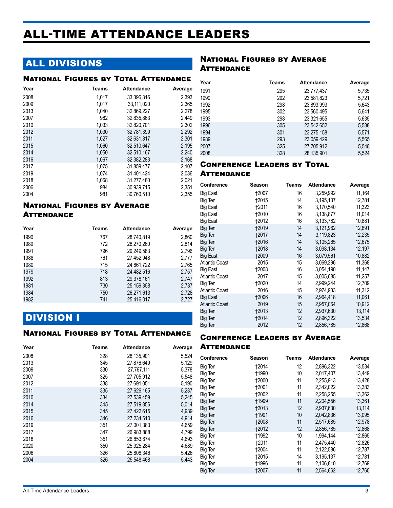# <span id="page-2-0"></span>ALL-TIME ATTENDANCE LEADERS

## ALL DIVISIONS

#### National Figures by Total Attendance

| Year | Teams | <b>Attendance</b> | Average |
|------|-------|-------------------|---------|
| 2008 | 1.017 | 33.396.316        | 2.393   |
| 2009 | 1.017 | 33.111.020        | 2.365   |
| 2013 | 1.040 | 32.869.227        | 2,278   |
| 2007 | 982   | 32.835.863        | 2.449   |
| 2010 | 1,033 | 32,820,701        | 2,302   |
| 2012 | 1,030 | 32,781,399        | 2,292   |
| 2011 | 1.027 | 32,631,817        | 2,301   |
| 2015 | 1,060 | 32,510,647        | 2,195   |
| 2014 | 1,050 | 32,510,167        | 2,240   |
| 2016 | 1,067 | 32,382,283        | 2,168   |
| 2017 | 1.075 | 31.859.477        | 2,107   |
| 2019 | 1.074 | 31.401.424        | 2.036   |
| 2018 | 1,068 | 31,277,480        | 2,021   |
| 2006 | 984   | 30,939,715        | 2,351   |
| 2004 | 981   | 30,760,510        | 2,355   |

#### National Figures by Average **ATTENDANCE**

| Year | <b>Teams</b> | <b>Attendance</b> | Average |
|------|--------------|-------------------|---------|
| 1990 | 767          | 28.740.819        | 2,860   |
| 1989 | 772          | 28,270,260        | 2,814   |
| 1991 | 796          | 29,249,583        | 2,796   |
| 1988 | 761          | 27,452,948        | 2,777   |
| 1980 | 715          | 24,861,722        | 2,765   |
| 1979 | 718          | 24.482.516        | 2,757   |
| 1992 | 813          | 29,378,161        | 2,747   |
| 1981 | 730          | 25,159,358        | 2,737   |
| 1984 | 750          | 26,271,613        | 2,728   |
| 1982 | 741          | 25,416,017        | 2,727   |

### DIVISION I

#### National Figures by Total Attendance

| 328<br>28,135,901<br>5,524 |
|----------------------------|
|                            |
| 27,876,649<br>345<br>5,129 |
| 330<br>27,767,111<br>5,378 |
| 325<br>27.705.912<br>5,548 |
| 338<br>27,691,051<br>5,190 |
| 335<br>27.626.165<br>5,237 |
| 334<br>27.539.459<br>5,245 |
| 345<br>27.519.856<br>5,014 |
| 345<br>27.422.615<br>4.939 |
| 346<br>27.234.610<br>4.914 |
| 27,001,383<br>351<br>4,659 |
| 347<br>26,983,888<br>4,799 |
| 4,693<br>351<br>26.853.674 |
| 4,689<br>350<br>25,925,284 |
| 326<br>25.808.346<br>5,426 |
| 326<br>25.548.468<br>5.443 |
|                            |

#### **NATIONAL FIGURES BY AVERAGE ATTENDANCE**

| Year | Teams | <b>Attendance</b> | Average |
|------|-------|-------------------|---------|
| 1991 | 295   | 23,777,437        | 5,735   |
| 1990 | 292   | 23,581,823        | 5,721   |
| 1992 | 298   | 23,893,993        | 5,643   |
| 1995 | 302   | 23,560,495        | 5,641   |
| 1993 | 298   | 23,321,655        | 5,635   |
| 1996 | 305   | 23,542,652        | 5,588   |
| 1994 | 301   | 23,275,158        | 5,571   |
| 1989 | 293   | 23,059,429        | 5,565   |
| 2007 | 325   | 27,705,912        | 5,548   |
| 2008 | 328   | 28,135,901        | 5.524   |

#### Conference Leaders by Total **ATTENDANCE**

| Conference            | Season       | Teams | Attendance | Average |
|-----------------------|--------------|-------|------------|---------|
| Big East              | 12007        | 16    | 3,259,992  | 11,164  |
| Big Ten               | 12015        | 14    | 3,195,137  | 12,781  |
| Big East              | †2011        | 16    | 3,170,540  | 11,323  |
| <b>Big East</b>       | 12010        | 16    | 3,138,877  | 11,014  |
| Big East              | 12012        | 16    | 3,133,782  | 10,881  |
| Big Ten               | <b>†2019</b> | 14    | 3,121,962  | 12,691  |
| Big Ten               | †2017        | 14    | 3,119,823  | 12,235  |
| Big Ten               | <b>†2016</b> | 14    | 3,105,265  | 12,675  |
| Big Ten               | <b>†2018</b> | 14    | 3,098,134  | 12,197  |
| Big East              | 12009        | 16    | 3,079,561  | 10,882  |
| <b>Atlantic Coast</b> | 2015         | 15    | 3,069,296  | 11,368  |
| Big East              | 12008        | 16    | 3,054,190  | 11,147  |
| <b>Atlantic Coast</b> | 2017         | 15    | 3,005,685  | 11,257  |
| Big Ten               | 12020        | 14    | 2,999,244  | 12,709  |
| <b>Atlantic Coast</b> | 2016         | 15    | 2,974,933  | 11,312  |
| <b>Big East</b>       | 12006        | 16    | 2,964,418  | 11,061  |
| <b>Atlantic Coast</b> | 2019         | 15    | 2,957,064  | 10,912  |
| Big Ten               | 12013        | 12    | 2,937,630  | 13,114  |
| Big Ten               | 12014        | 12    | 2,896,322  | 13,534  |
| Big Ten               | 2012         | 12    | 2,856,785  | 12,868  |
|                       |              |       |            |         |

#### Conference Leaders by Average **ATTENDANCE**

| Conference | Season       | Teams | <b>Attendance</b> | Average |
|------------|--------------|-------|-------------------|---------|
| Big Ten    | †2014        | 12    | 2,896,322         | 13,534  |
| Big Ten    | <b>†1990</b> | 10    | 2,017,407         | 13,449  |
| Big Ten    | <b>†2000</b> | 11    | 2,255,913         | 13,428  |
| Big Ten    | <b>+2001</b> | 11    | 2.342.022         | 13,383  |
| Big Ten    | 12002        | 11    | 2,258,255         | 13,362  |
| Big Ten    | †1999        | 11    | 2,204,556         | 13,361  |
| Big Ten    | 12013        | 12    | 2,937,630         | 13,114  |
| Big Ten    | †1991        | 10    | 2,042,836         | 13,095  |
| Big Ten    | 12008        | 11    | 2,517,685         | 12,978  |
| Big Ten    | <b>+2012</b> | 12    | 2.856.785         | 12,868  |
| Big Ten    | †1992        | 10    | 1,994,144         | 12,865  |
| Big Ten    | <b>†2011</b> | 11    | 2,475,440         | 12,826  |
| Big Ten    | <b>†2004</b> | 11    | 2,122,586         | 12,787  |
| Big Ten    | 12015        | 14    | 3,195,137         | 12,781  |
| Big Ten    | <b>†1996</b> | 11    | 2,106,810         | 12,769  |
| Big Ten    | <b>†2007</b> | 11    | 2,564,662         | 12,760  |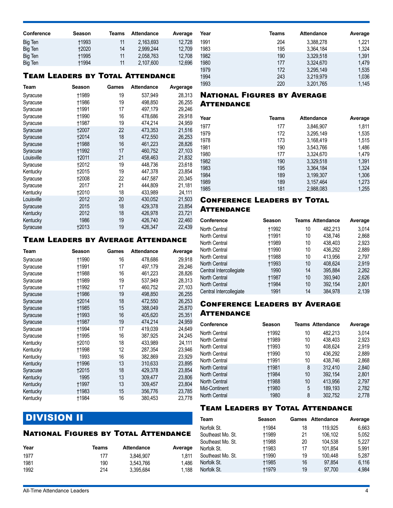| Conference | Season       | Teams | <b>Attendance</b> | Average |
|------------|--------------|-------|-------------------|---------|
| Big Ten    | <b>+1993</b> | 11    | 2.163.693         | 12.728  |
| Big Ten    | <b>+2020</b> | 14    | 2.999.244         | 12.709  |
| Big Ten    | <b>t1995</b> | 11    | 2.058.763         | 12.708  |
| Big Ten    | †1994        | 11    | 2,107,600         | 12.696  |

#### Team Leaders by Total Attendance

| Team       | <b>Season</b> | Games | <b>Attendance</b> | Avgerage |
|------------|---------------|-------|-------------------|----------|
| Syracuse   | †1989         | 19    | 537,949           | 28,313   |
| Syracuse   | <b>†1986</b>  | 19    | 498,850           | 26,255   |
| Syracuse   | <b>†1991</b>  | 17    | 497,179           | 29,246   |
| Syracuse   | <b>†1990</b>  | 16    | 478,686           | 29,918   |
| Syracuse   | <b>†1987</b>  | 19    | 474,214           | 24,959   |
| Syracuse   | <b>†2007</b>  | 22    | 473,353           | 21,516   |
| Syracuse   | <b>†2014</b>  | 18    | 472,550           | 26,253   |
| Syracuse   | <b>†1988</b>  | 16    | 461,223           | 28,826   |
| Syracuse   | <b>†1992</b>  | 17    | 460.752           | 27,103   |
| Louisville | <b>t2011</b>  | 21    | 458.463           | 21,832   |
| Syracuse   | 12012         | 19    | 448,736           | 23,618   |
| Kentucky   | <b>†2015</b>  | 19    | 447,378           | 23,854   |
| Syracuse   | 12008         | 22    | 447,587           | 20,345   |
| Syracuse   | 2017          | 21    | 444.809           | 21,181   |
| Kentucky   | 12010         | 18    | 433,989           | 24,111   |
| Louisville | 2012          | 20    | 430,052           | 21,503   |
| Syracuse   | 2015          | 18    | 429,378           | 23,854   |
| Kentucky   | 2012          | 18    | 426,978           | 23,721   |
| Kentucky   | 1986          | 19    | 426,740           | 22,460   |
| Syracuse   | <b>†2013</b>  | 19    | 426,347           | 22,439   |

#### Team Leaders by Average Attendance

| Team     | Season       | Games | <b>Attendance</b> | Average |
|----------|--------------|-------|-------------------|---------|
| Syracuse | †1990        | 16    | 478,686           | 29,918  |
| Syracuse | †1991        | 17    | 497,179           | 29,246  |
| Syracuse | †1988        | 16    | 461,223           | 28,826  |
| Syracuse | †1989        | 19    | 537,949           | 28,313  |
| Syracuse | †1992        | 17    | 460,752           | 27,103  |
| Syracuse | <b>†1986</b> | 19    | 498,850           | 26,255  |
| Syracuse | †2014        | 18    | 472,550           | 26,253  |
| Syracuse | <b>†1985</b> | 15    | 388,049           | 25,870  |
| Syracuse | <b>†1993</b> | 16    | 405,620           | 25,351  |
| Syracuse | †1987        | 19    | 474,214           | 24,959  |
| Syracuse | †1994        | 17    | 419,039           | 24,649  |
| Syracuse | <b>†1995</b> | 16    | 387,925           | 24,245  |
| Kentucky | 12010        | 18    | 433,989           | 24,111  |
| Kentucky | †1998        | 12    | 287,354           | 23,946  |
| Kentucky | 1993         | 16    | 382,869           | 23,929  |
| Kentucky | <b>†1996</b> | 13    | 310,633           | 23,895  |
| Syracuse | <b>†2015</b> | 18    | 429,378           | 23,854  |
| Kentucky | 1995         | 13    | 309,477           | 23,806  |
| Kentucky | †1997        | 13    | 309,457           | 23,804  |
| Kentucky | <b>†1983</b> | 15    | 356,776           | 23,785  |
| Kentucky | <b>†1984</b> | 16    | 380,453           | 23,778  |

# DIVISION II

#### National Figures by Total Attendance

| Year | Teams | <b>Attendance</b> | Average |
|------|-------|-------------------|---------|
| 1977 | 177   | 3.846.907         | 1.811   |
| 1981 | 190   | 3.543.766         | 1.486   |
| 1992 | 214   | 3.395.684         | 1.188   |

| Year | Teams | Attendance | Average |
|------|-------|------------|---------|
| 1991 | 204   | 3,388,278  | 1.221   |
| 1983 | 195   | 3,364,184  | 1.324   |
| 1982 | 190   | 3.329.518  | 1,391   |
| 1980 | 177   | 3,324,670  | 1.479   |
| 1979 | 172   | 3,295,149  | 1,535   |
| 1994 | 243   | 3,219,979  | 1,036   |
| 1993 | 220   | 3,201,765  | 1,145   |
|      |       |            |         |

#### National Figures by Average **ATTENDANCE**

| Year | Teams | <b>Attendance</b> | Average |
|------|-------|-------------------|---------|
| 1977 | 177   | 3,846,907         | 1.811   |
| 1979 | 172   | 3,295,149         | 1,535   |
| 1978 | 173   | 3,168,419         | 1,515   |
| 1981 | 190   | 3,543,766         | 1,486   |
| 1980 | 177   | 3,324,670         | 1,479   |
| 1982 | 190   | 3,329,518         | 1,391   |
| 1983 | 195   | 3,364,184         | 1,324   |
| 1984 | 189   | 3,199,307         | 1,306   |
| 1989 | 189   | 3,157,464         | 1,273   |
| 1985 | 181   | 2,988,083         | 1.255   |

#### Conference Leaders by Total **ATTENDANCE**

| <b>Conference</b>       | Season       |    | <b>Teams Attendance</b> | Average |
|-------------------------|--------------|----|-------------------------|---------|
| North Central           | <b>†1992</b> | 10 | 482.213                 | 3,014   |
| North Central           | †1991        | 10 | 438.746                 | 2,868   |
| North Central           | †1989        | 10 | 438.403                 | 2,923   |
| North Central           | †1990        | 10 | 436.292                 | 2,889   |
| North Central           | †1988        | 10 | 413.956                 | 2.797   |
| <b>North Central</b>    | <b>†1993</b> | 10 | 408.624                 | 2.919   |
| Central Intercollegiate | 1990         | 14 | 395.884                 | 2,262   |
| <b>North Central</b>    | <b>†1987</b> | 10 | 393.940                 | 2,626   |
| <b>North Central</b>    | †1984        | 10 | 392.154                 | 2,801   |
| Central Intercollegiate | 1991         | 14 | 384.978                 | 2.139   |

#### Conference Leaders by Average **ATTENDANCE**

| <b>Conference</b> | Season       |    | <b>Teams Attendance</b> | Average |
|-------------------|--------------|----|-------------------------|---------|
| North Central     | †1992        | 10 | 482.213                 | 3.014   |
| North Central     | †1989        | 10 | 438,403                 | 2.923   |
| North Central     | †1993        | 10 | 408.624                 | 2.919   |
| North Central     | +1990        | 10 | 436.292                 | 2,889   |
| North Central     | †1991        | 10 | 438.746                 | 2,868   |
| North Central     | <b>†1981</b> | 8  | 312.410                 | 2,840   |
| North Central     | <b>t1984</b> | 10 | 392,154                 | 2,801   |
| North Central     | <b>†1988</b> | 10 | 413.956                 | 2,797   |
| Mid-Continent     | <b>t1980</b> | 5  | 189.193                 | 2,782   |
| North Central     | 1980         | 8  | 302.752                 | 2.778   |

#### Team Leaders by Total Attendance

| Team              | Season       |    | Games Attendance | Average |
|-------------------|--------------|----|------------------|---------|
| Norfolk St.       | †1984        | 18 | 119.925          | 6,663   |
| Southeast Mo. St. | <b>†1989</b> | 21 | 106.102          | 5,052   |
| Southeast Mo. St. | †1988        | 20 | 104.538          | 5.227   |
| Norfolk St.       | †1983        | 17 | 101.854          | 5.991   |
| Southeast Mo. St. | <b>†1990</b> | 19 | 100,448          | 5,287   |
| Norfolk St.       | <b>†1985</b> | 16 | 97.854           | 6,116   |
| Norfolk St.       | +1979        | 19 | 97.700           | 4,984   |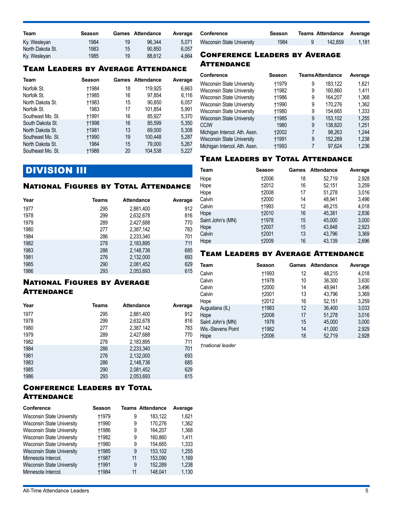| Team             | Season |    | Games Attendance | Average |
|------------------|--------|----|------------------|---------|
| Ky. Wesleyan     | 1984   | 19 | 96.344           | 5.071   |
| North Dakota St. | 1983   | 15 | 90.850           | 6.057   |
| Ky. Wesleyan     | 1985   | 19 | 88.612           | 4.664   |

#### Team Leaders by Average Attendance

| Team              | Season       |    | Games Attendance | Average |
|-------------------|--------------|----|------------------|---------|
| Norfolk St.       | †1984        | 18 | 119.925          | 6,663   |
| Norfolk St.       | †1985        | 16 | 97,854           | 6,116   |
| North Dakota St.  | +1983        | 15 | 90,850           | 6,057   |
| Norfolk St.       | 1983         | 17 | 101,854          | 5,991   |
| Southeast Mo. St. | †1991        | 16 | 85.927           | 5,370   |
| South Dakota St.  | <b>†1998</b> | 16 | 85.599           | 5,350   |
| North Dakota St.  | †1981        | 13 | 69.000           | 5,308   |
| Southeast Mo. St. | <b>t1990</b> | 19 | 100.448          | 5,287   |
| North Dakota St.  | 1984         | 15 | 79.000           | 5,267   |
| Southeast Mo. St. | †1988        | 20 | 104.538          | 5.227   |

### **DIVISION III**

#### National Figures by Total Attendance

| Year | Teams | <b>Attendance</b> | Average |
|------|-------|-------------------|---------|
| 1977 | 295   | 2,881,400         | 912     |
| 1978 | 299   | 2,632,678         | 816     |
| 1979 | 289   | 2,427,688         | 770     |
| 1980 | 277   | 2,387,142         | 783     |
| 1984 | 286   | 2,233,340         | 701     |
| 1982 | 278   | 2,183,895         | 711     |
| 1983 | 286   | 2,148,736         | 685     |
| 1981 | 276   | 2,132,000         | 693     |
| 1985 | 290   | 2,081,452         | 629     |
| 1986 | 293   | 2,053,693         | 615     |

#### **NATIONAL FIGURES BY AVERAGE ATTENDANCE**

| Year | Teams | <b>Attendance</b> | Average |
|------|-------|-------------------|---------|
| 1977 | 295   | 2,881,400         | 912     |
| 1978 | 299   | 2,632,678         | 816     |
| 1980 | 277   | 2,387,142         | 783     |
| 1979 | 289   | 2,427,688         | 770     |
| 1982 | 278   | 2,183,895         | 711     |
| 1984 | 286   | 2,233,340         | 701     |
| 1981 | 276   | 2,132,000         | 693     |
| 1983 | 286   | 2,148,736         | 685     |
| 1985 | 290   | 2,081,452         | 629     |
| 1986 | 293   | 2,053,693         | 615     |

#### Conference Leaders by Total **ATTENDANCE**

| <b>Conference</b>                 | Season       |    | <b>Teams Attendance</b> | Average |
|-----------------------------------|--------------|----|-------------------------|---------|
| Wisconsin State University        | +1979        | 9  | 183.122                 | 1.621   |
| Wisconsin State University        | <b>+1990</b> | 9  | 170.276                 | 1,362   |
| Wisconsin State University        | <b>t1986</b> | 9  | 164.207                 | 1,368   |
| <b>Wisconsin State University</b> | <b>t1982</b> | 9  | 160.860                 | 1.411   |
| Wisconsin State University        | <b>t1980</b> | 9  | 154.665                 | 1,333   |
| Wisconsin State University        | <b>t1985</b> | 9  | 153.102                 | 1,255   |
| Minnesota Intercol.               | <b>+1987</b> | 11 | 153,090                 | 1,169   |
| Wisconsin State University        | <b>t1991</b> | 9  | 152,289                 | 1,238   |
| Minnesota Intercol.               | <b>t1984</b> | 11 | 148.041                 | 1,130   |

| Conference                        | Season | <b>Teams Attendance Average</b> |       |
|-----------------------------------|--------|---------------------------------|-------|
| <b>Wisconsin State University</b> | 1984   | 142.859                         | 1.181 |

#### Conference Leaders by Average **ATTENDANCE**

| <b>Conference</b>                 | Season       | <b>Teams Attendance</b> |         | Average |
|-----------------------------------|--------------|-------------------------|---------|---------|
| <b>Wisconsin State University</b> | <b>†1979</b> | 9                       | 183.122 | 1.621   |
| <b>Wisconsin State University</b> | †1982        | 9                       | 160,860 | 1.411   |
| <b>Wisconsin State University</b> | †1986        | 9                       | 164.207 | 1,368   |
| Wisconsin State University        | +1990        | 9                       | 170.276 | 1.362   |
| <b>Wisconsin State University</b> | †1980        | 9                       | 154.665 | 1,333   |
| <b>Wisconsin State University</b> | <b>†1985</b> | 9                       | 153.102 | 1,255   |
| <b>CCIW</b>                       | 1980         | 9                       | 138.820 | 1,251   |
| Michigan Intercol. Ath. Assn.     | 12002        | 7                       | 98.263  | 1,244   |
| <b>Wisconsin State University</b> | <b>†1991</b> | 9                       | 152,289 | 1,238   |
| Michigan Intercol. Ath. Assn.     | <b>t1993</b> |                         | 97.624  | 1,236   |

#### Team Leaders by Total Attendance

| Team              | Season       | Games | <b>Attendance</b> | Average |
|-------------------|--------------|-------|-------------------|---------|
| Hope              | 12006        | 18    | 52,719            | 2.928   |
| Hope              | <b>+2012</b> | 16    | 52,151            | 3,259   |
| Hope              | 12008        | 17    | 51,278            | 3.016   |
| Calvin            | 12000        | 14    | 48,941            | 3,496   |
| Calvin            | <b>†1993</b> | 12    | 48,215            | 4,018   |
| Hope              | <b>†2010</b> | 16    | 45.381            | 2,836   |
| Saint John's (MN) | †1978        | 15    | 45.000            | 3,000   |
| Hope              | 12007        | 15    | 43,848            | 2,923   |
| Calvin            | 12001        | 13    | 43,796            | 3,369   |
| Hope              | 12009        | 16    | 43.139            | 2.696   |

#### Team Leaders by Average Attendance

| Team               | Season       |    | Games Attendance | Average |
|--------------------|--------------|----|------------------|---------|
| Calvin             | †1993        | 12 | 48.215           | 4,018   |
| Calvin             | †1978        | 10 | 36.300           | 3,630   |
| Calvin             | 12000        | 14 | 48.941           | 3,496   |
| Calvin             | 12001        | 13 | 43,796           | 3,369   |
| Hope               | †2012        | 16 | 52.151           | 3,259   |
| Augustana (IL)     | <b>†1983</b> | 12 | 36,400           | 3,033   |
| Hope               | 12008        | 17 | 51,278           | 3,016   |
| Saint John's (MN)  | 1978         | 15 | 45.000           | 3,000   |
| Wis.-Stevens Point | †1982        | 14 | 41,000           | 2,929   |
| Hope               | 12006        | 18 | 52.719           | 2.928   |

*†national leader*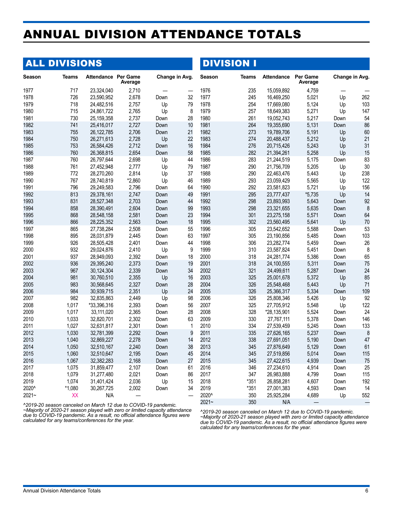# <span id="page-5-0"></span>ANNUAL DIVISION ATTENDANCE TOTALS

# ALL DIVISIONS

DIVISION I

| Season                                                                  | <b>Teams</b> | <b>Attendance Per Game</b> | Average | Change in Avg. |             | <b>Season</b> | Teams | <b>Attendance</b> | <b>Per Game</b><br>Average |      | Change in Avg. |
|-------------------------------------------------------------------------|--------------|----------------------------|---------|----------------|-------------|---------------|-------|-------------------|----------------------------|------|----------------|
| 1977                                                                    | 717          | 23.324.040                 | 2,710   |                |             | 1976          | 235   | 15.059.892        | 4,759                      |      |                |
| 1978                                                                    | 726          | 23,590,952                 | 2,678   | Down           | 32          | 1977          | 245   | 16,469,250        | 5,021                      | Up   | 262            |
| 1979                                                                    | 718          | 24,482,516                 | 2,757   | Up             | 79          | 1978          | 254   | 17,669,080        | 5,124                      | Up   | 103            |
| 1980                                                                    | 715          | 24,861,722                 | 2,765   | Up             | 8           | 1979          | 257   | 18,649,383        | 5,271                      | Up   | 147            |
| 1981                                                                    | 730          | 25,159,358                 | 2,737   | Down           | 28          | 1980          | 261   | 19,052,743        | 5,217                      | Down | 54             |
| 1982                                                                    | 741          | 25.416.017                 | 2,727   | Down           | 10          | 1981          | 264   | 19,355,690        | 5,131                      | Down | 86             |
| 1983                                                                    | 755          | 26,122,785                 | 2,706   | Down           | 21          | 1982          | 273   | 19,789,706        | 5,191                      | Up   | 60             |
| 1984                                                                    | 750          | 26,271,613                 | 2,728   | Up             | 22          | 1983          | 274   | 20,488,437        | 5,212                      | Up   | 21             |
| 1985                                                                    | 753          | 26,584,426                 | 2,712   | Down           | 16          | 1984          | 276   | 20,715,426        | 5,243                      | Up   | 31             |
| 1986                                                                    | 760          | 26,368,815                 | 2,654   | Down           | 58          | 1985          | 282   | 21,394,261        | 5,258                      | Up   | 15             |
| 1987                                                                    | 760          | 26,797,644                 | 2,698   | Up             | 44          | 1986          | 283   | 21,244,519        | 5,175                      | Down | 83             |
| 1988                                                                    | 761          | 27,452,948                 | 2,777   | Up             | 79          | 1987          | 290   | 21,756,709        | 5,205                      | Up   | 30             |
| 1989                                                                    | 772          | 28,270,260                 | 2,814   | Up             | 37          | 1988          | 290   | 22,463,476        | 5,443                      | Up   | 238            |
| 1990                                                                    | 767          | 28,740,819                 | *2,860  | Up             | 46          | 1989          | 293   | 23,059,429        | 5,565                      | Up   | 122            |
| 1991                                                                    | 796          | 29,249,583                 | 2,796   | Down           | 64          | 1990          | 292   | 23,581,823        | 5,721                      | Up   | 156            |
| 1992                                                                    | 813          | 29,378,161                 | 2,747   | Down           | 49          | 1991          | 295   | 23,777,437        | *5,735                     | Up   | 14             |
| 1993                                                                    | 831          | 28,527,348                 | 2,703   | Down           | 44          | 1992          | 298   | 23,893,993        | 5,643                      | Down | 92             |
| 1994                                                                    | 858          | 28,390,491                 | 2,604   | Down           | 99          | 1993          | 298   | 23,321,655        | 5,635                      | Down | 8              |
| 1995                                                                    | 868          | 28,548,158                 | 2,581   | Down           | 23          | 1994          | 301   | 23,275,158        | 5,571                      | Down | 64             |
| 1996                                                                    | 866          | 28,225,352                 | 2,563   | Down           | 18          | 1995          | 302   | 23,560,495        | 5,641                      | Up   | 70             |
|                                                                         |              |                            |         |                |             | 1996          | 305   |                   |                            |      | 53             |
| 1997                                                                    | 865          | 27,738,284                 | 2,508   | Down           | 55          |               |       | 23,542,652        | 5,588                      | Down |                |
| 1998                                                                    | 895          | 28,031,879                 | 2,445   | Down           | 63          | 1997          | 305   | 23,190,856        | 5,485                      | Down | 103            |
| 1999                                                                    | 926          | 28,505,428                 | 2,401   | Down           | 44          | 1998          | 306   | 23,282,774        | 5,459                      | Down | 26             |
| 2000                                                                    | 932          | 29,024,876                 | 2,410   | Up             | 9           | 1999          | 310   | 23,587,824        | 5,451                      | Down | 8              |
| 2001                                                                    | 937          | 28,949,093                 | 2,392   | Down           | 18          | 2000          | 318   | 24,281,774        | 5,386                      | Down | 65             |
| 2002                                                                    | 936          | 29,395,240                 | 2,373   | Down           | 19          | 2001          | 318   | 24,100,555        | 5,311                      | Down | 75             |
| 2003                                                                    | 967          | 30,124,304                 | 2,339   | Down           | 34          | 2002          | 321   | 24,499,611        | 5,287                      | Down | 24             |
| 2004                                                                    | 981          | 30,760,510                 | 2,355   | Up             | 16          | 2003          | 325   | 25,001,678        | 5,372                      | Up   | 85             |
| 2005                                                                    | 983          | 30,568,645                 | 2,327   | Down           | 28          | 2004          | 326   | 25,548,468        | 5,443                      | Up   | 71             |
| 2006                                                                    | 984          | 30,939,715                 | 2,351   | Up             | 24          | 2005          | 326   | 25,366,317        | 5,334                      | Down | 109            |
| 2007                                                                    | 982          | 32,835,863                 | 2,449   | Up             | 98          | 2006          | 326   | 25,808,346        | 5,426                      | Up   | 92             |
| 2008                                                                    | 1.017        | *33,396,316                | 2,393   | Down           | 56          | 2007          | 325   | 27,705,912        | 5,548                      | Up   | 122            |
| 2009                                                                    | 1,017        | 33,111,020                 | 2,365   | Down           | 28          | 2008          | 328   | *28,135,901       | 5,524                      | Down | 24             |
| 2010                                                                    | 1,033        | 32,820,701                 | 2,302   | Down           | 63          | 2009          | 330   | 27,767,111        | 5,378                      | Down | 146            |
| 2011                                                                    | 1,027        | 32,631,817                 | 2,301   | Down           | $\mathbf 1$ | 2010          | 334   | 27,539,459        | 5,245                      | Down | 133            |
| 2012                                                                    | 1,030        | 32,781,399                 | 2,292   | Down           | 9           | 2011          | 335   | 27,626,165        | 5,237                      | Down | 8              |
| 2013                                                                    | 1.040        | 32,869,227                 | 2,278   | Down           | 14          | 2012          | 338   | 27,691,051        | 5,190                      | Down | 47             |
| 2014                                                                    | 1,050        | 32,510,167                 | 2,240   | Down           | 38          | 2013          | 345   | 27,876,649        | 5,129                      | Down | 61             |
| 2015                                                                    | 1.060        | 32,510,647                 | 2.195   | Down           | 45          | 2014          | 345   | 27,519,856        | 5.014                      | Down | 115            |
| 2016                                                                    | 1,067        | 32,382,283                 | 2,168   | Down           | 27          | 2015          | 345   | 27,422,615        | 4,939                      | Down | 75             |
| 2017                                                                    | 1,075        | 31,859,477                 | 2,107   | Down           | 61          | 2016          | 346   | 27,234,610        | 4,914                      | Down | 25             |
| 2018                                                                    | 1,079        | 31,277,480                 | 2,021   | Down           | 86          | 2017          | 347   | 26,983,888        | 4,799                      | Down | 115            |
| 2019                                                                    | 1,074        | 31,401,424                 | 2,036   | Up             | 15          | 2018          | *351  | 26,858,281        | 4,607                      | Down | 192            |
| 2020^                                                                   | *1,080       | 30,267,725                 | 2,002   | Down           | 34          | 2019          | *351  | 27,001,383        | 4,593                      | Down | 14             |
| $2021 -$                                                                | XX           | N/A                        |         |                |             | 2020^         | 350   | 25,925,284        | 4,689                      | Up   | 552            |
| $0.2010, 20$ concept conceled on $M$ grap 12 due to $COVID$ 10 nondemio |              |                            |         |                |             | $2021 -$      | 350   | N/A               |                            |      |                |

*^2019-20 season canceled on March 12 due to COVID-19 pandemic. ~Majority of 2020-21 season played with zero or limited capacity attendance due to COVID-19 pandemic. As a result, no official attendance figures were calculated for any teams/conferences for the year.*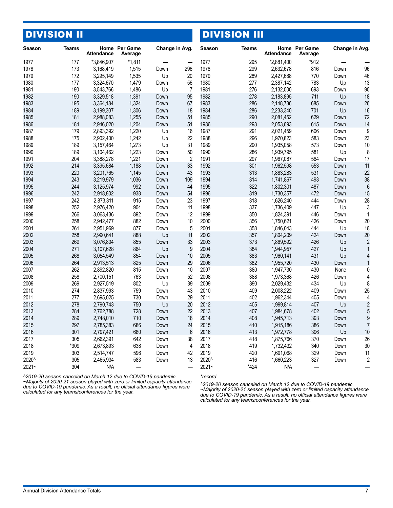| <b>DIVISION II</b> |             |                        |                          |                |                          | <b>DIVISION III</b> |              |                        |                          |                |                |
|--------------------|-------------|------------------------|--------------------------|----------------|--------------------------|---------------------|--------------|------------------------|--------------------------|----------------|----------------|
| <b>Season</b>      | Teams       | <b>Attendance</b>      | Home Per Game<br>Average | Change in Avg. |                          | <b>Season</b>       | <b>Teams</b> | <b>Attendance</b>      | Home Per Game<br>Average | Change in Avg. |                |
| 1977               | 177         | *3,846,907             | $*1,811$                 |                |                          | 1977                | 295          | *2,881,400             | *912                     |                |                |
| 1978               | 173         | 3,168,419              | 1,515                    | Down           | 296                      | 1978                | 299          | 2,632,678              | 816                      | Down           | 96             |
| 1979               | 172         | 3,295,149              | 1,535                    | Up             | 20                       | 1979                | 289          | 2,427,688              | 770                      | Down           | 46             |
| 1980               | 177         | 3,324,670              | 1,479                    | Down           | 56                       | 1980                | 277          | 2,387,142              | 783                      | Up             | 13             |
| 1981               | 190         | 3,543,766              | 1,486                    | Up             | $\overline{7}$           | 1981                | 276          | 2,132,000              | 693                      | Down           | 90             |
| 1982               | 190         | 3,329,518              | 1,391                    | Down           | 95                       | 1982                | 278          | 2,183,895              | 711                      | Up             | 18             |
| 1983               | 195         | 3,364,184              | 1,324                    | Down           | 67                       | 1983                | 286          | 2,148,736              | 685                      | Down           | 26             |
| 1984               | 189         | 3,199,307              | 1,306                    | Down           | 18                       | 1984                | 286          | 2,233,340              | 701                      | Up             | 16             |
| 1985               | 181         | 2,988,083              | 1,255                    | Down           | 51                       | 1985                | 290          | 2,081,452              | 629                      | Down           | 72             |
| 1986               | 184         | 2,946,020              | 1,204                    | Down           | 51                       | 1986                | 293          | 2,053,693              | 615                      | Down           | 14             |
| 1987               | 179         | 2,893,392              | 1,220                    | Up             | 16                       | 1987                | 291          | 2,021,459              | 606                      | Down           | 9              |
| 1988               | 175         | 2,902,400              | 1,242                    | Up             | 22                       | 1988                | 296          | 1,970,823              | 583                      | Down           | 23             |
| 1989               | 189         | 3,157,464              | 1,273                    | Up             | 31                       | 1989                | 290          | 1,935,058              | 573                      | Down           | 10             |
| 1990               | 189         | 3,104,462              | 1,223                    | Down           | 50                       | 1990                | 286          | 1,939,795              | 581                      | Up             | 8              |
| 1991               | 204         | 3,388,278              | 1,221                    | Down           | 2                        | 1991                | 297          | 1,967,087              | 564                      | Down           | 17             |
| 1992               | 214         | 3,395,684              | 1,188                    | Down           | 33                       | 1992                | 301          | 1,962,598              | 553                      | Down           | 11             |
| 1993               | 220         | 3,201,765              | 1,145                    | Down           | 43                       | 1993                | 313          | 1,883,283              | 531                      | Down           | 22             |
| 1994               | 243         | 3,219,979              | 1,036                    | Down           | 109                      | 1994                | 314          | 1,741,867              | 493                      | Down           | 38             |
| 1995               | 244         | 3,125,974              | 992                      | Down           | 44                       | 1995                | 322          | 1,802,301              | 487                      | Down           | 6              |
| 1996               | 242         | 2,918,802              | 938                      | Down           | 54                       | 1996                | 319          | 1,730,357              | 472                      | Down           | 15             |
| 1997               | 242         | 2,873,311              | 915                      | Down           | 23                       | 1997                | 318          | 1,626,240              | 444                      | Down           | 28             |
| 1998               | 252         | 2,976,420              | 904                      | Down           | 11                       | 1998                | 337          | 1,736,409              | 447                      | Up             | 3              |
| 1999               | 266         | 3,063,436              | 892                      | Down           | 12                       | 1999                | 350          | 1,824,391              | 446                      | Down           | 1              |
| 2000               | 258         | 2,942,477              | 882                      | Down           | 10                       | 2000                | 356          | 1,750,621              | 426                      | Down           | 20             |
| 2001               | 261         | 2,951,969              | 877                      | Down           | 5                        | 2001                | 358          | 1,846,043              | 444                      | Up             | 18             |
| 2002               | 258         | 2,990,641              | 888                      | Up             | 11                       | 2002                | 357          | 1,804,209              | 424                      | Down           | 20             |
| 2003               | 269         | 3,076,804              | 855                      | Down           | 33                       | 2003                | 373          | 1,869,592              | 426                      | Up             | $\overline{2}$ |
| 2004               | 271         | 3,107,628              | 864                      | Up             | 9                        | 2004                | 384          | 1,944,957              | 427                      | Up             |                |
| 2005               | 268         | 3,054,549              | 854                      | Down           | 10                       | 2005                | 383          | 1,960,141              | 431                      | Up             | 4              |
| 2006               | 264         | 2,913,513              | 825                      | Down           | 29                       | 2006                | 382          | 1,955,720              | 430                      | Down           | 1              |
| 2007               | 262         | 2,892,820              | 815                      | Down           | 10                       | 2007                | 380          | 1,947,730              | 430                      | None           | 0              |
| 2008               | 258         | 2,700,151              | 763                      | Down           | 52                       | 2008                | 388          | 1,973,368              | 426                      | Down           | 4              |
| 2009               | 269         | 2,927,519              | 802                      | Up             | 39                       | 2009                | 390          | 2,029,432              | 434                      | Up             | 8              |
| 2010               | 274         | 2,837,993              | 759                      | Down           | 43                       | 2010                | 409          | 2,008,222              | 409                      | Down           | 25             |
| 2011               | 277         | 2,695,025              | 730                      | Down           | 29                       | 2011                | 402          | 1,962,344              | 405                      | Down           | 4              |
| 2012               | 278         | 2,790,743              | 750                      | Up             | 20                       | 2012                | 405          | 1,999,814              | 407                      | Up             | $\overline{2}$ |
| 2013               | 284         | 2,762,788              | 728                      | Down           | 22                       | 2013                | 407          | 1,984,678              | 402                      | Down           | 5              |
| 2014               | 289         | 2,748,010              | 710                      | Down           | 18                       | 2014                | 408          | 1,945,713              | 393                      | Down           | 9              |
| 2015<br>2016       | 297<br>301  | 2,785,383<br>2,797,421 | 686                      | Down<br>Down   | 24<br>$6\phantom{1}6$    | 2015<br>2016        | 410<br>413   | 1,915,186<br>1,972,778 | 386<br>396               | Down           | 7              |
| 2017               |             |                        | 680                      |                |                          |                     |              |                        |                          | Up             | 10<br>26       |
|                    | 305<br>*309 | 2,662,391              | 642                      | Down           | 38                       | 2017                | 418          | 1,875,766              | 370                      | Down           |                |
| 2018<br>2019       | 303         | 2,673,893<br>2,514,747 | 638<br>596               | Down           | 4<br>42                  | 2018<br>2019        | 419<br>420   | 1,732,432<br>1,691,068 | 340<br>329               | Down           | 30<br>11       |
| 2020^              | 305         | 2,465,934              | 583                      | Down           | 13                       | 2020^               | 416          | 1,660,223              |                          | Down           |                |
| $2021 -$           | 304         | N/A                    |                          | Down           | $\overline{\phantom{0}}$ | $2021 -$            | *424         | N/A                    | 327                      | Down           | $\overline{c}$ |
|                    |             |                        |                          |                |                          |                     |              |                        |                          |                |                |

*^2019-20 season canceled on March 12 due to COVID-19 pandemic.* 

*~Majority of 2020-21 season played with zero or limited capacity attendance due to COVID-19 pandemic. As a result, no official attendance figures were calculated for any teams/conferences for the year.*

*\*record*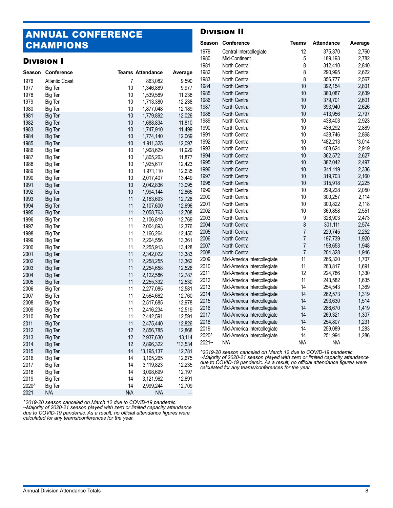## ANNUAL CONFERENCE CHAMPIONS

#### Division I

#### Division II

|              | <b>CHAMPIONS</b>      |          |                         |                  |                      | Season Conference                                                                                                                                         | <b>Teams</b>   | <b>Attendance</b>             | Average                 |
|--------------|-----------------------|----------|-------------------------|------------------|----------------------|-----------------------------------------------------------------------------------------------------------------------------------------------------------|----------------|-------------------------------|-------------------------|
|              | <b>DIVISION I</b>     |          |                         |                  | 1979<br>1980<br>1981 | Central Intercollegiate<br>Mid-Continent<br>North Central                                                                                                 | 12<br>5<br>8   | 375,370<br>189,193<br>312,410 | 2,760<br>2,782<br>2,840 |
| Season       | Conference            |          | <b>Teams Attendance</b> | Average          | 1982                 | North Central                                                                                                                                             | 8              | 290,995                       | 2,622                   |
| 1976         | <b>Atlantic Coast</b> | 7        | 863,082                 | 9,590            | 1983                 | North Central                                                                                                                                             | 8              | 356,777                       | 2,567                   |
| 1977         | Big Ten               | 10       | 1,346,889               | 9,977            | 1984                 | North Central                                                                                                                                             | 10             | 392,154                       | 2,801                   |
| 1978         | Big Ten               | 10       | 1,539,589               | 11,238           | 1985                 | North Central                                                                                                                                             | 10             | 380,087                       | 2,639                   |
| 1979         | Big Ten               | 10       | 1,713,380               | 12,238           | 1986                 | North Central                                                                                                                                             | 10             | 379,701                       | 2,601                   |
| 1980         | Big Ten               | 10       | 1,877,048               | 12,189           | 1987                 | North Central                                                                                                                                             | 10             | 393,940                       | 2,626                   |
| 1981         | Big Ten               | 10       | 1,779,892               | 12,026           | 1988                 | North Central                                                                                                                                             | 10             | 413,956                       | 2,797                   |
| 1982         | Big Ten               | 10       | 1,688,834               | 11,810           | 1989                 | North Central                                                                                                                                             | 10             | 438,403                       | 2,923                   |
| 1983         | Big Ten               | 10       | 1,747,910               | 11,499           | 1990                 | North Central                                                                                                                                             | 10             | 436,292                       | 2,889                   |
| 1984         | Big Ten               | 10       | 1,774,140               | 12,069           | 1991                 | North Central                                                                                                                                             | 10             | 438,746                       | 2,868                   |
| 1985         | Big Ten               | 10       | 1,911,325               | 12,097           | 1992                 | North Central                                                                                                                                             | 10             | *482,213                      | $*3,014$                |
| 1986         | Big Ten               | 10       | 1,908,629               | 11,929           | 1993                 | North Central                                                                                                                                             | 10             | 408,624                       | 2,919                   |
| 1987         | Big Ten               | 10       | 1,805,263               | 11,877           | 1994                 | North Central                                                                                                                                             | 10             | 362,572                       | 2,627                   |
| 1988         | Big Ten               | 10       | 1,925,617               | 12,423           | 1995                 | North Central                                                                                                                                             | 10             | 382,042                       | 2,497                   |
| 1989         | Big Ten               | 10       | 1,971,110               | 12,635           | 1996                 | North Central                                                                                                                                             | 10             | 341,119                       | 2,336                   |
| 1990         | Big Ten               | 10       | 2,017,407               | 13,449           | 1997                 | North Central                                                                                                                                             | 10             | 319,703                       | 2,160                   |
| 1991         | Big Ten               | 10       | 2,042,836               | 13,095           | 1998                 | North Central                                                                                                                                             | 10             | 315,918                       | 2,225                   |
| 1992         | Big Ten               | 10       | 1,994,144               | 12,865           | 1999                 | North Central                                                                                                                                             | 10             | 299,228                       | 2,050                   |
| 1993         | Big Ten               | 11       | 2,163,693               | 12,728           | 2000                 | North Central                                                                                                                                             | 10             | 300,257                       | 2,114                   |
| 1994         | Big Ten               | 11       | 2,107,600               | 12,696           | 2001                 | North Central                                                                                                                                             | 10             | 300,822                       | 2,118                   |
| 1995         |                       | 11       |                         | 12,708           | 2002                 | North Central                                                                                                                                             | 10             | 369,858                       | 2,551                   |
| 1996         | Big Ten<br>Big Ten    | 11       | 2,058,763<br>2,106,810  | 12,769           | 2003                 | North Central                                                                                                                                             | 9              | 328,903                       | 2,473                   |
| 1997         |                       | 11       | 2,004,893               | 12,376           | 2004                 | North Central                                                                                                                                             | 8              | 301,111                       | 2,574                   |
| 1998         | Big Ten               | 11       | 2,166,264               | 12,450           | 2005                 | North Central                                                                                                                                             | $\overline{7}$ | 229,745                       | 2,252                   |
| 1999         | Big Ten               | 11       | 2,204,556               |                  | 2006                 | North Central                                                                                                                                             | $\overline{7}$ | 197,739                       | 1,920                   |
|              | Big Ten               |          |                         | 13,361           | 2007                 | North Central                                                                                                                                             | $\overline{7}$ | 198,653                       | 1,948                   |
| 2000<br>2001 | Big Ten               | 11<br>11 | 2,255,913               | 13,428<br>13,383 | 2008                 | North Central                                                                                                                                             | $\overline{7}$ | 204,328                       | 1,946                   |
| 2002         | Big Ten               | 11       | 2,342,022<br>2,258,255  | 13,362           | 2009                 | Mid-America Intercollegiate                                                                                                                               | 11             | 266,320                       | 1,707                   |
| 2003         | Big Ten               | 11       | 2,254,658               | 12,526           | 2010                 | Mid-America Intercollegiate                                                                                                                               | 11             | 263,817                       | 1,691                   |
|              | Big Ten               |          |                         |                  | 2011                 | Mid-America Intercollegiate                                                                                                                               | 12             | 224,786                       | 1,330                   |
| 2004         | Big Ten               | 11       | 2,122,586               | 12,787           | 2012                 | Mid-America Intercollegiate                                                                                                                               | 11             | 243,582                       | 1,635                   |
| 2005         | Big Ten               | 11       | 2,255,332               | 12,530           | 2013                 | Mid-America Intercollegiate                                                                                                                               | 14             | 254,543                       | 1,369                   |
| 2006         | Big Ten               | 11       | 2,277,085               | 12,581           | 2014                 | Mid-America Intercollegiate                                                                                                                               | 14             | 262,573                       | 1,319                   |
| 2007         | Big Ten               | 11       | 2,564,662<br>2,517,685  | 12,760           | 2015                 | Mid-America Intercollegiate                                                                                                                               | 14             | 293,630                       | 1,514                   |
| 2008         | Big Ten               | 11       |                         | 12,978           | 2016                 | Mid-America Intercollegiate                                                                                                                               | 14             | 286,670                       | 1,419                   |
| 2009         | Big Ten               | 11       | 2,416,234               | 12,519           | 2017                 | Mid-America Intercollegiate                                                                                                                               | 14             | 269,321                       | 1,307                   |
| 2010         | Big Ten               | 11       | 2,442,591               | 12,591           | 2018                 | Mid-America Intercollegiate                                                                                                                               | 14             | 254,807                       | 1,231                   |
| 2011         | Big Ten               | 11       | 2,475,440               | 12,826           | 2019                 | Mid-America Intercollegiate                                                                                                                               | 14             | 259,089                       | 1,283                   |
| 2012         | Big Ten               | 12       | 2,856,785               | 12,868           | 2020^                | Mid-America Intercollegiate                                                                                                                               | 14             | 251,994                       | 1,286                   |
| 2013         | Big Ten               | 12       | 2,937,630               | 13,114           | $2021 -$             | N/A                                                                                                                                                       | N/A            | N/A                           |                         |
| 2014         | Big Ten               | 12       | 2,896,322               | *13,534          |                      |                                                                                                                                                           |                |                               |                         |
| 2015         | Big Ten               | 14       | *3,195,137              | 12,781           |                      | ^2019-20 season canceled on March 12 due to COVID-19 pandemic.                                                                                            |                |                               |                         |
| 2016         | Big Ten               | 14       | 3,105,265               | 12,675           |                      | ~Majority of 2020-21 season played with zero or limited capacity attendance<br>due to COVID-19 pandemic. As a result, no official attendance figures were |                |                               |                         |
| 2017         | Big Ten               | 14       | 3,119,823               | 12,235           |                      | calculated for any teams/conferences for the year.                                                                                                        |                |                               |                         |
| 2018         | Big Ten               | 14       | 3,098,699               | 12,197           |                      |                                                                                                                                                           |                |                               |                         |
| 2019         | Big Ten               | 14       | 3,121,962               | 12,691           |                      |                                                                                                                                                           |                |                               |                         |
| 2020^        | Big Ten               | 14       | 2,999,244               | 12,709           |                      |                                                                                                                                                           |                |                               |                         |

*^2019-20 season canceled on March 12 due to COVID-19 pandemic.* 

*~Majority of 2020-21 season played with zero or limited capacity attendance due to COVID-19 pandemic. As a result, no official attendance figures were calculated for any teams/conferences for the year.*

N/A N/A N/A —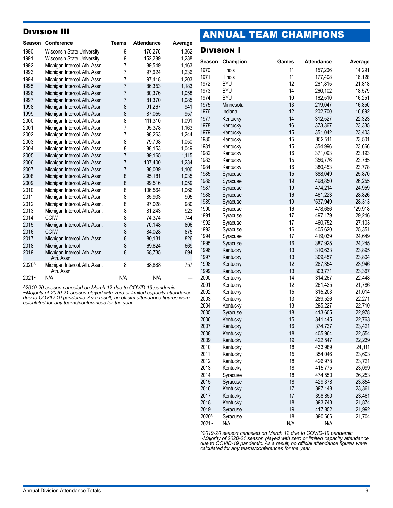#### Division III

| <b>Season</b> | Conference                                  | <b>Teams</b>   | <b>Attendance</b> | Average |
|---------------|---------------------------------------------|----------------|-------------------|---------|
| 1990          | Wisconsin State University                  | 9              | 170,276           | 1,362   |
| 1991          | <b>Wisconsin State University</b>           | 9              | 152,289           | 1,238   |
| 1992          | Michigan Intercol. Ath. Assn.               | 7              | 89,549            | 1,163   |
| 1993          | Michigan Intercol. Ath. Assn.               | 7              | 97,624            | 1,236   |
| 1994          | Michigan Intercol. Ath. Assn.               | 7              | 97,418            | 1,203   |
| 1995          | Michigan Intercol. Ath. Assn.               | $\overline{7}$ | 86,353            | 1,183   |
| 1996          | Michigan Intercol. Ath. Assn.               | 7              | 80,376            | 1,058   |
| 1997          | Michigan Intercol. Ath. Assn.               | 7              | 81,370            | 1,085   |
| 1998          | Michigan Intercol. Ath. Assn.               | 8              | 91,267            | 941     |
| 1999          | Michigan Intercol. Ath. Assn.               | 8              | 87,055            | 957     |
| 2000          | Michigan Intercol. Ath. Assn.               | 8              | 111.310           | 1,091   |
| 2001          | Michigan Intercol. Ath. Assn.               | 7              | 95,378            | 1,163   |
| 2002          | Michigan Intercol. Ath. Assn.               | 7              | 98,263            | 1,244   |
| 2003          | Michigan Intercol. Ath. Assn.               | 8              | 79,798            | 1,050   |
| 2004          | Michigan Intercol. Ath. Assn.               | 8              | 88,153            | 1,049   |
| 2005          | Michigan Intercol. Ath. Assn.               | $\overline{7}$ | 89,165            | 1,115   |
| 2006          | Michigan Intercol. Ath. Assn.               | $\overline{7}$ | 107,400           | 1,234   |
| 2007          | Michigan Intercol. Ath. Assn.               | 7              | 88,039            | 1,100   |
| 2008          | Michigan Intercol. Ath. Assn.               | 8              | 95,181            | 1,035   |
| 2009          | Michigan Intercol. Ath. Assn.               | 8              | 99,516            | 1,059   |
| 2010          | Michigan Intercol. Ath. Assn.               | 8              | 106,564           | 1,066   |
| 2011          | Michigan Intercol. Ath. Assn.               | 8              | 85,933            | 905     |
| 2012          | Michigan Intercol. Ath. Assn.               | 8              | 97,028            | 980     |
| 2013          | Michigan Intercol. Ath. Assn.               | 8              | 81,243            | 923     |
| 2014          | <b>CCIW</b>                                 | 8              | 74,374            | 744     |
| 2015          | Michigan Intercol. Ath. Assn.               | 8              | 70,148            | 806     |
| 2016          | <b>CCIW</b>                                 | 8              | 84,028            | 875     |
| 2017          | Michigan Intercol. Ath. Assn.               | 8              | 80,131            | 826     |
| 2018          | Michigan Intercol                           | 8              | 69,624            | 669     |
| 2019          | Michigan Intercol. Ath. Assn.<br>Ath. Assn. | 8              | 68,735            | 694     |
| 2020^         | Michigan Intercol. Ath. Assn.<br>Ath. Assn. | 8              | 68,888            | 757     |
| $2021 -$      | N/A                                         | N/A            | N/A               |         |

*^2019-20 season canceled on March 12 due to COVID-19 pandemic.* 

*~Majority of 2020-21 season played with zero or limited capacity attendance due to COVID-19 pandemic. As a result, no official attendance figures were calculated for any teams/conferences for the year.*

# ANNUAL TEAM CHAMPIONS

#### Division I

| Season   | Champion             | Games | <b>Attendance</b> | Average          |
|----------|----------------------|-------|-------------------|------------------|
| 1970     | Illinois             | 11    | 157,206           | 14,291           |
| 1971     | Illinois             | 11    | 177,408           | 16,128           |
| 1972     | <b>BYU</b>           | 12    | 261,815           | 21,818           |
| 1973     | <b>BYU</b>           | 14    | 260,102           | 18,579           |
| 1974     | <b>BYU</b>           | 10    | 162,510           | 16,251           |
| 1975     | Minnesota            | 13    | 219,047           | 16,850           |
| 1976     | Indiana              | 12    | 202,700           | 16,892           |
| 1977     | Kentucky             | 14    | 312,527           | 22,323           |
| 1978     | Kentucky             | 16    | 373,367           | 23,335           |
| 1979     | Kentucky             | 15    | 351,042           | 23,403           |
| 1980     | Kentucky             | 15    | 352,511           | 23,501           |
| 1981     | Kentucky             | 15    | 354,996           | 23,666           |
| 1982     | Kentucky             | 16    | 371,093           | 23,193           |
| 1983     | Kentucky             | 15    | 356,776           | 23,785           |
| 1984     | Kentucky             | 16    | 380,453           | 23,778           |
| 1985     | Syracuse             | 15    | 388,049           | 25,870           |
| 1986     | Syracuse             | 19    | 498,850           | 26,255           |
| 1987     | Syracuse             | 19    | 474,214           | 24,959           |
| 1988     | Syracuse             | 16    | 461,223           | 28,826           |
| 1989     | Syracuse             | 19    | *537,949          | 28,313           |
| 1990     | Syracuse             | 16    | 478,686           | *29,918          |
| 1991     | Syracuse             | 17    | 497,179           | 29,246           |
| 1992     | Syracuse             | 17    | 460,752           | 27,103           |
| 1993     | Syracuse             | 16    | 405,620           | 25,351           |
| 1994     |                      | 17    | 419,039           | 24,649           |
| 1995     | Syracuse<br>Syracuse | 16    | 387,925           | 24,245           |
| 1996     | Kentucky             | 13    |                   |                  |
| 1997     |                      | 13    | 310,633           | 23,895<br>23,804 |
| 1998     | Kentucky             | 12    | 309,457           |                  |
|          | Kentucky             | 13    | 287,354           | 23,946           |
| 1999     | Kentucky             | 14    | 303,771           | 23,367           |
| 2000     | Kentucky             | 12    | 314,267           | 22,448           |
| 2001     | Kentucky             |       | 261,435           | 21,786           |
| 2002     | Kentucky             | 15    | 315,203           | 21,014           |
| 2003     | Kentucky             | 13    | 289,526           | 22,271           |
| 2004     | Kentucky             | 13    | 295,227           | 22,710           |
| 2005     | Syracuse             | 18    | 413,605           | 22,978           |
| 2006     | Kentucky             | 15    | 341,445           | 22,763           |
| 2007     | Kentucky             | 16    | 374,737           | 23,421           |
| 2008     | Kentucky             | 18    | 405,964           | 22,554           |
| 2009     | Kentucky             | 19    | 422,547           | 22,239           |
| 2010     | Kentucky             | 18    | 433,989           | 24,111           |
| 2011     | Kentucky             | 15    | 354,046           | 23,603           |
| 2012     | Kentucky             | 18    | 426,978           | 23,721           |
| 2013     | Kentucky             | 18    | 415,775           | 23,099           |
| 2014     | Syracuse             | 18    | 474,550           | 26,253           |
| 2015     | Syracuse             | 18    | 429,378           | 23,854           |
| 2016     | Kentucky             | 17    | 397,148           | 23,361           |
| 2017     | Kentucky             | 17    | 398,850           | 23,461           |
| 2018     | Kentucky             | 18    | 393,743           | 21,874           |
| 2019     | Syracuse             | 19    | 417,852           | 21,992           |
| 2020^    | Syracuse             | 18    | 390,666           | 21,704           |
| $2021 -$ | N/A                  | N/A   | N/A               |                  |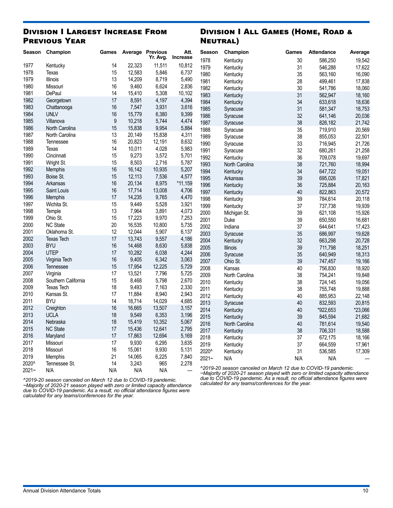#### Division I Largest Increase From Previous Year

#### Division I All Games (Home, Road & Neutral)

| Season   | Champion            | Games            |        | Average Previous | Att.      | Season   | Champion                                                                                                                                             | Games | <b>Attendance</b> | Average |
|----------|---------------------|------------------|--------|------------------|-----------|----------|------------------------------------------------------------------------------------------------------------------------------------------------------|-------|-------------------|---------|
|          |                     |                  |        | Yr. Avg.         | Increase  | 1978     | Kentucky                                                                                                                                             | 30    | 586,250           | 19,542  |
| 1977     | Kentucky            | 14               | 22,323 | 11,511           | 10,812    | 1979     | Kentucky                                                                                                                                             | 31    | 546,288           | 17,622  |
| 1978     | Texas               | 15               | 12,583 | 5,846            | 6,737     | 1980     | Kentucky                                                                                                                                             | 35    | 563,160           | 16,090  |
| 1979     | <b>Illinois</b>     | 13               | 14,209 | 8,719            | 5,490     | 1981     | Kentucky                                                                                                                                             | 28    | 499,461           | 17,838  |
| 1980     | Missouri            | 16               | 9,460  | 6,624            | 2,836     | 1982     | Kentucky                                                                                                                                             | 30    | 541,786           | 18,060  |
| 1981     | DePaul              | 14               | 15,410 | 5,308            | 10,102    | 1983     | Kentucky                                                                                                                                             | 31    | 562,947           | 18,160  |
| 1982     | Georgetown          | 17               | 8,591  | 4,197            | 4,394     | 1984     | Kentucky                                                                                                                                             | 34    | 633,618           | 18,636  |
| 1983     | Chattanooga         | 16               | 7,547  | 3,931            | 3,616     | 1985     | Syracuse                                                                                                                                             | 31    | 581,347           | 18,753  |
| 1984     | <b>UNLV</b>         | 16               | 15,779 | 6,380            | 9,399     | 1986     | Syracuse                                                                                                                                             | 32    | 641,146           | 20,036  |
| 1985     | Villanova           | $\boldsymbol{9}$ | 10,218 | 5,744            | 4,474     | 1987     | Syracuse                                                                                                                                             | 38    | 826,182           | 21,742  |
| 1986     | North Carolina      | 15               | 15,838 | 9,954            | 5,884     | 1988     | Syracuse                                                                                                                                             | 35    | 719,910           | 20,569  |
| 1987     | North Carolina      | 13               | 20,149 | 15,838           | 4,311     | 1989     | Syracuse                                                                                                                                             | 38    | 855,053           | 22,501  |
| 1988     | Tennessee           | 16               | 20,823 | 12,191           | 8,632     | 1990     | Syracuse                                                                                                                                             | 33    | 716,945           | 21,726  |
| 1989     | Texas               | 14               | 10,011 | 4,028            | 5,983     | 1991     | Syracuse                                                                                                                                             | 32    | 680,261           | 21,258  |
| 1990     | Cincinnati          | 15               | 9,273  | 3,572            | 5,701     | 1992     | Kentucky                                                                                                                                             | 36    | 709,078           | 19,697  |
| 1991     | Wright St.          | 15               | 8,503  | 2,716            | 5,787     | 1993     | North Carolina                                                                                                                                       | 38    | 721,760           | 18,994  |
| 1992     | <b>Memphis</b>      | 16               | 16,142 | 10,935           | 5,207     | 1994     | Kentucky                                                                                                                                             | 34    | 647,722           | 19,051  |
| 1993     | Boise St.           | 15               | 12,113 | 7,536            | 4,577     | 1995     | Arkansas                                                                                                                                             | 39    | 695,026           | 17,821  |
| 1994     | Arkansas            | 16               | 20,134 | 8,975            | $*11,159$ | 1996     | Kentucky                                                                                                                                             | 36    | 725,884           | 20,163  |
| 1995     | Saint Louis         | 16               | 17,714 | 13,008           | 4,706     | 1997     | Kentucky                                                                                                                                             | 40    | 822,863           | 20,572  |
| 1996     | Memphis             | 17               | 14,235 | 9,765            | 4,470     | 1998     | Kentucky                                                                                                                                             | 39    | 784,614           | 20,118  |
| 1997     | Wichita St.         | 15               | 9,449  | 5,528            | 3,921     | 1999     | Kentucky                                                                                                                                             | 37    | 737,738           | 19,939  |
| 1998     | Temple              | 13               | 7,964  | 3,891            | 4,073     | 2000     | Michigan St.                                                                                                                                         | 39    | 621,108           | 15,926  |
| 1999     | Ohio St.            | 15               | 17,223 | 9,970            | 7,253     | 2001     | Duke                                                                                                                                                 | 39    | 650,550           | 16,681  |
| 2000     | NC State            | 20               | 16,535 | 10,800           | 5,735     | 2002     | Indiana                                                                                                                                              | 37    | 644,641           | 17,423  |
| 2001     | Oklahoma St.        | 12               | 12.044 | 5,907            | 6,137     | 2003     | Syracuse                                                                                                                                             | 35    | 686,997           | 19,628  |
| 2002     | <b>Texas Tech</b>   | 17               | 13,743 | 9,557            | 4,186     | 2004     | Kentucky                                                                                                                                             | 32    | 663,298           | 20,728  |
| 2003     | <b>BYU</b>          | 16               | 14,468 | 8,630            | 5,838     | 2005     | <b>Illinois</b>                                                                                                                                      | 39    | 711,798           | 18,251  |
| 2004     | <b>UTEP</b>         | 17               | 10,282 | 6,038            | 4,244     | 2006     | Syracuse                                                                                                                                             | 35    | 640,949           | 18,313  |
| 2005     | Virginia Tech       | 16               | 9,405  | 6,342            | 3,063     | 2007     | Ohio St.                                                                                                                                             | 39    | 747,457           | 19,166  |
| 2006     | Tennessee           | 15               | 17,954 | 12,225           | 5,729     | 2008     | Kansas                                                                                                                                               | 40    | 756,830           | 18,920  |
| 2007     | Virginia            | 17               | 13,521 | 7,796            | 5,725     | 2009     | North Carolina                                                                                                                                       | 38    | 754,241           | 19,848  |
| 2008     | Southern California | 15               | 8,468  | 5,798            | 2,670     | 2010     | Kentucky                                                                                                                                             | 38    | 724,145           | 19,056  |
| 2009     | <b>Texas Tech</b>   | 18               | 9,493  | 7,163            | 2,330     | 2011     | Kentucky                                                                                                                                             | 38    | 755,748           | 19,888  |
| 2010     | Kansas St.          | 17               | 11,884 | 8,940            | 2,943     | 2012     | Kentucky                                                                                                                                             | 40    | 885,953           | 22,148  |
| 2011     | <b>BYU</b>          | 14               | 18,714 | 14,029           | 4,685     | 2013     | Syracuse                                                                                                                                             | 40    | 832,593           | 20,815  |
| 2012     | Creighton           | 16               | 16,665 | 13,507           | 3,157     | 2014     | Kentucky                                                                                                                                             | 40    | *922,653          | *23,066 |
| 2013     | <b>UCLA</b>         | 18               | 9,549  | 6,353            | 3,196     | 2015     | Kentucky                                                                                                                                             | 39    | 845,594           | 21,682  |
| 2014     | Nebraska            | 18               | 15,419 | 10,352           | 5,067     | 2016     | North Carolina                                                                                                                                       | 40    | 781,614           | 19,540  |
| 2015     | <b>NC State</b>     | 17               | 15,436 | 12,641           | 2,795     | 2017     | Kentucky                                                                                                                                             | 38    | 706,331           | 18,588  |
| 2016     | Maryland            | 17               | 17,863 | 12,694           | 5,169     | 2018     | Kentucky                                                                                                                                             | 37    | 672,175           | 18,166  |
| 2017     | Missouri            | 17               | 9,930  | 6,295            | 3,635     | 2019     | Kentucky                                                                                                                                             | 37    | 664,559           | 17,961  |
| 2018     | Missouri            | 16               | 15,061 | 9,930            | 5,131     | 2020^    | Kentucky                                                                                                                                             | 31    | 536,585           | 17,309  |
| 2019     | Memphis             | 21               | 14,065 | 6,225            | 7,840     | $2021 -$ | N/A                                                                                                                                                  | N/A   | N/A               |         |
| 2020^    | Tennessee St.       | 14               | 3,243  | 965              | 2,278     |          |                                                                                                                                                      |       |                   |         |
| $2021 -$ | N/A                 | N/A              | N/A    | N/A              |           |          | ^2019-20 season canceled on March 12 due to COVID-19 pandemic.<br>$\sim$ Majority of 2020, 21 season played with zero or limited canacity attendance |       |                   |         |

*^2019-20 season canceled on March 12 due to COVID-19 pandemic.* 

*~Majority of 2020-21 season played with zero or limited capacity attendance due to COVID-19 pandemic. As a result, no official attendance figures were calculated for any teams/conferences for the year.*

*~Majority of 2020-21 season played with zero or limited capacity attendance due to COVID-19 pandemic. As a result, no official attendance figures were calculated for any teams/conferences for the year.*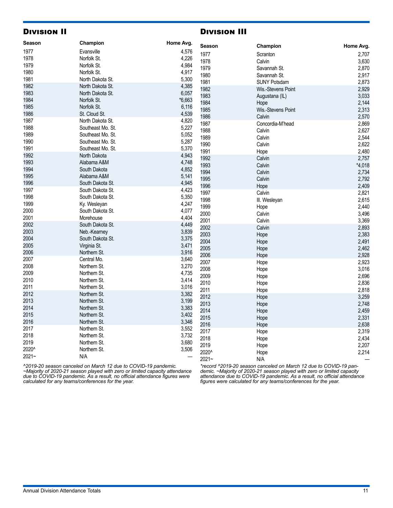#### Division II

#### Division III

| Season   | Champion          | Home Avg. | Season   | Champion            | Home Avg. |
|----------|-------------------|-----------|----------|---------------------|-----------|
| 1977     | Evansville        | 4,576     | 1977     | Scranton            | 2,707     |
| 1978     | Norfolk St.       | 4,226     | 1978     |                     |           |
| 1979     | Norfolk St.       | 4,984     |          | Calvin              | 3,630     |
| 1980     | Norfolk St.       | 4,917     | 1979     | Savannah St.        | 2,870     |
| 1981     | North Dakota St.  | 5,300     | 1980     | Savannah St.        | 2,917     |
| 1982     | North Dakota St.  | 4,385     | 1981     | <b>SUNY Potsdam</b> | 2,873     |
| 1983     | North Dakota St.  | 6,057     | 1982     | Wis.-Stevens Point  | 2,929     |
| 1984     | Norfolk St.       | $*6,663$  | 1983     | Augustana (IL)      | 3,033     |
| 1985     | Norfolk St.       | 6,116     | 1984     | Hope                | 2,144     |
| 1986     | St. Cloud St.     | 4,539     | 1985     | Wis.-Stevens Point  | 2,313     |
| 1987     | North Dakota St.  | 4,820     | 1986     | Calvin              | 2,570     |
| 1988     |                   |           | 1987     | Concordia-M'head    | 2,869     |
|          | Southeast Mo. St. | 5,227     | 1988     | Calvin              | 2,627     |
| 1989     | Southeast Mo. St. | 5,052     | 1989     | Calvin              | 2,544     |
| 1990     | Southeast Mo. St. | 5,287     | 1990     | Calvin              | 2,622     |
| 1991     | Southeast Mo. St. | 5,370     | 1991     | Hope                | 2,480     |
| 1992     | North Dakota      | 4,943     | 1992     | Calvin              | 2,757     |
| 1993     | Alabama A&M       | 4,748     | 1993     | Calvin              | $*4,018$  |
| 1994     | South Dakota      | 4,852     | 1994     | Calvin              | 2,734     |
| 1995     | Alabama A&M       | 5,141     | 1995     | Calvin              | 2,792     |
| 1996     | South Dakota St.  | 4,945     | 1996     | Hope                | 2,409     |
| 1997     | South Dakota St.  | 4,423     | 1997     | Calvin              | 2,821     |
| 1998     | South Dakota St.  | 5,350     | 1998     | III. Wesleyan       | 2,615     |
| 1999     | Ky. Wesleyan      | 4,247     | 1999     | Hope                | 2,440     |
| 2000     | South Dakota St.  | 4,077     | 2000     | Calvin              | 3,496     |
| 2001     | Morehouse         | 4,404     | 2001     | Calvin              |           |
| 2002     | South Dakota St.  | 4,449     | 2002     |                     | 3,369     |
| 2003     | Neb.-Kearney      | 3,839     |          | Calvin              | 2,893     |
| 2004     | South Dakota St.  | 3,375     | 2003     | Hope                | 2,383     |
| 2005     | Virginia St.      | 3,471     | 2004     | Hope                | 2,491     |
| 2006     | Northern St.      | 3,916     | 2005     | Hope                | 2,462     |
| 2007     | Central Mo.       | 3,640     | 2006     | Hope                | 2,928     |
| 2008     | Northern St.      | 3,270     | 2007     | Hope                | 2,923     |
| 2009     | Northern St.      | 4,735     | 2008     | Hope                | 3,016     |
| 2010     | Northern St.      | 3,414     | 2009     | Hope                | 2,696     |
| 2011     | Northern St.      | 3,016     | 2010     | Hope                | 2,836     |
| 2012     | Northern St.      | 3,382     | 2011     | Hope                | 2,818     |
| 2013     | Northern St.      | 3,199     | 2012     | Hope                | 3,259     |
| 2014     | Northern St.      | 3,383     | 2013     | Hope                | 2,748     |
| 2015     | Northern St.      | 3,402     | 2014     | Hope                | 2,459     |
|          |                   |           | 2015     | Hope                | 2,331     |
| 2016     | Northern St.      | 3,346     | 2016     | Hope                | 2,638     |
| 2017     | Northern St.      | 3,552     | 2017     | Hope                | 2,319     |
| 2018     | Northern St.      | 3,732     | 2018     | Hope                | 2,434     |
| 2019     | Northern St.      | 3,680     | 2019     | Hope                | 2,207     |
| 2020^    | Northern St.      | 3,506     | 2020^    | Hope                | 2,214     |
| $2021 -$ | N/A               |           | $2021 -$ | N/A                 |           |
| 0.0018   |                   |           |          |                     |           |

*^2019-20 season canceled on March 12 due to COVID-19 pandemic. ~Majority of 2020-21 season played with zero or limited capacity attendance due to COVID-19 pandemic. As a result, no official attendance figures were calculated for any teams/conferences for the year.*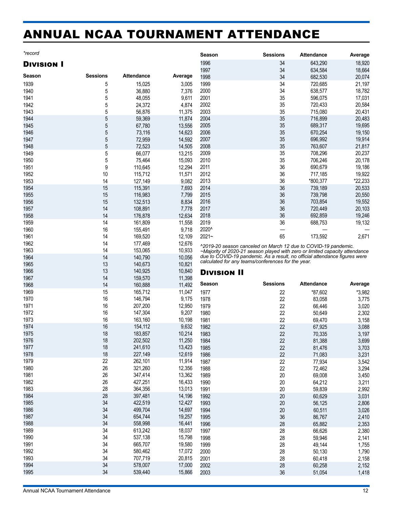# <span id="page-11-0"></span>ANNUAL NCAA TOURNAMENT ATTENDANCE

| ır<br>, , |  |
|-----------|--|
|           |  |

#### Division I

|        |                 |                   |         | 1997                  |
|--------|-----------------|-------------------|---------|-----------------------|
| Season | <b>Sessions</b> | <b>Attendance</b> | Average | 1998                  |
| 1939   | 5               | 15,025            | 3,005   | 1999                  |
| 1940   | 5               | 36,880            | 7,376   | 2000                  |
| 1941   | 5               | 48,055            | 9,611   | 2001                  |
| 1942   | 5               | 24,372            | 4,874   | 2002                  |
| 1943   | 5               | 56,876            | 11,375  | 2003                  |
| 1944   | 5               | 59,369            | 11,874  | 2004                  |
| 1945   | 5               | 67,780            | 13,556  | 2005                  |
| 1946   | 5               | 73,116            | 14,623  | 2006                  |
| 1947   | 5               | 72,959            | 14,592  | 2007                  |
| 1948   | 5               | 72,523            | 14,505  | 2008                  |
| 1949   | 5               | 66,077            | 13,215  | 2009                  |
| 1950   | 5               | 75,464            | 15,093  | 2010                  |
| 1951   | 9               | 110,645           | 12,294  | 2011                  |
| 1952   | 10              | 115,712           | 11,571  | 2012                  |
| 1953   | 14              | 127,149           | 9,082   | 2013                  |
| 1954   | 15              | 115,391           | 7,693   | 2014                  |
| 1955   | 15              | 116,983           | 7,799   | 2015                  |
| 1956   | 15              | 132,513           | 8,834   | 2016                  |
| 1957   | 14              | 108,891           | 7,778   | 2017                  |
| 1958   | 14              | 176,878           | 12,634  | 2018                  |
| 1959   | 14              | 161,809           | 11,558  | 2019                  |
| 1960   | 16              | 155,491           | 9,718   | 2020^                 |
| 1961   | 14              | 169,520           | 12,109  | 2021~                 |
| 1962   | 14              | 177,469           | 12,676  | ^2019-20              |
| 1963   | 14              | 153,065           | 10,933  | ~Majority             |
| 1964   | 14              | 140,790           | 10,056  | due to C<br>calculate |
| 1965   | 13              | 140,673           | 10,821  |                       |
| 1966   | 13              | 140,925           | 10,840  | Divis                 |
| 1967   | 14              | 159,570           | 11,398  |                       |
| 1968   | 14              | 160,888           | 11,492  | Season                |
| 1969   | 15              | 165,712           | 11,047  | 1977                  |
| 1970   | 16              | 146,794           | 9,175   | 1978                  |
| 1971   | 16              | 207,200           | 12,950  | 1979                  |
| 1972   | 16              | 147,304           | 9,207   | 1980                  |
| 1973   | 16              | 163,160           | 10,198  | 1981                  |
| 1974   | 16              | 154,112           | 9,632   | 1982                  |
| 1975   | 18              | 183,857           | 10,214  | 1983                  |
| 1976   | 18              | 202,502           | 11,250  | 1984                  |
| 1977   | 18              | 241,610           | 13,423  | 1985                  |
| 1978   | 18              | 227,149           | 12,619  | 1986                  |
| 1979   | 22              | 262,101           | 11,914  | 1987                  |
| 1980   | 26              | 321,260           | 12,356  | 1988                  |
| 1981   | 26              | 347,414           | 13,362  | 1989                  |
| 1982   | 26              | 427,251           | 16,433  | 1990                  |
| 1983   | 28              | 364,356           | 13,013  | 1991                  |
| 1984   | 28              | 397,481           | 14,196  | 1992                  |
| 1985   | 34              | 422,519           | 12,427  | 1993                  |
| 1986   | 34              | 499,704           | 14,697  | 1994                  |
| 1987   | 34              | 654,744           | 19,257  | 1995                  |
| 1988   | 34              | 558,998           | 16,441  | 1996                  |
| 1989   | 34              | 613,242           | 18,037  | 1997                  |
| 1990   | 34              | 537,138           | 15,798  | 1998                  |
| 1991   | 34              | 665,707           | 19,580  | 1999                  |
| 1992   | 34              | 580,462           | 17,072  | 2000                  |
| 1993   | 34              | 707,719           | 20,815  | 2001                  |
| 1994   | 34              | 578,007           | 17,000  | 2002                  |
| 1995   | 34              | 539,440           | 15,866  | 2003                  |

| 1996     | 34 | 643,290  | 18,920  |
|----------|----|----------|---------|
| 1997     | 34 | 634,584  | 18,664  |
| 1998     | 34 | 682,530  | 20,074  |
| 1999     | 34 | 720,685  | 21,197  |
| 2000     | 34 | 638,577  | 18,782  |
| 2001     | 35 | 596,075  | 17,031  |
| 2002     | 35 | 720,433  | 20,584  |
| 2003     | 35 | 715,080  | 20,431  |
| 2004     | 35 | 716,899  | 20,483  |
| 2005     | 35 | 689,317  | 19,695  |
| 2006     | 35 | 670,254  | 19,150  |
| 2007     | 35 | 696,992  | 19,914  |
| 2008     | 35 | 763,607  | 21,817  |
| 2009     | 35 | 708,296  | 20,237  |
| 2010     | 35 | 706,246  | 20,178  |
| 2011     | 36 | 690,679  | 19,186  |
| 2012     | 36 | 717,185  | 19,922  |
| 2013     | 36 | *800,377 | *22,233 |
| 2014     | 36 | 739,189  | 20,533  |
| 2015     | 36 | 739,798  | 20,550  |
| 2016     | 36 | 703,854  | 19,552  |
| 2017     | 36 | 720,449  | 20,103  |
| 2018     | 36 | 692,859  | 19,246  |
| 2019     | 36 | 688,753  | 19,132  |
| 2020^    |    |          |         |
| $2021 -$ | 65 | 173,592  | 2,671   |
|          |    |          |         |

**Season Sessions Attendance Average**

*^2019-20 season canceled on March 12 due to COVID-19 pandemic. ~Majority of 2020-21 season played with zero or limited capacity attendance due to COVID-19 pandemic. As a result, no official attendance figures were calculated for any teams/conferences for the year.*

#### Division II

| Season       | <b>Sessions</b> | <b>Attendance</b> | Average        |
|--------------|-----------------|-------------------|----------------|
| 1977         | 22              | *87,602           | *3,982         |
| 1978         | 22              | 83,058            | 3,775          |
| 1979         | 22              | 66,446            | 3,020          |
| 1980         | 22              | 50,649            | 2,302          |
| 1981         | 22              | 69,470            | 3,158          |
| 1982         | 22              | 67,925            | 3,088          |
| 1983         | 22              | 70,335            | 3,197          |
| 1984         | 22              | 81,388            | 3,699          |
| 1985         | 22              | 81,476            | 3,703          |
| 1986         | 22              | 71,083            | 3,231          |
| 1987         | 22              | 77,934            | 3,542          |
| 1988         | 22              | 72,462            | 3,294          |
| 1989         | 20              | 69,008            | 3,450          |
| 1990         | 20              | 64,212            | 3,211          |
| 1991         | 20              | 59,839            | 2,992          |
| 1992         | 20              | 60,629            | 3,031          |
| 1993         | 20              | 56,125            | 2,806          |
| 1994         | 20              | 60,511            | 3,026          |
| 1995<br>1996 | 36<br>28        | 86,767<br>65,882  | 2,410<br>2,353 |
| 1997         | 28              | 66,626            | 2,380          |
| 1998         | 28              | 59,946            | 2,141          |
| 1999         | 28              | 49,144            | 1,755          |
| 2000         | 28              | 50,130            | 1,790          |
| 2001         | 28              | 60,418            | 2,158          |
| 2002         | 28              | 60,258            | 2,152          |
| 2003         | 36              | 51,054            | 1,418          |
|              |                 |                   |                |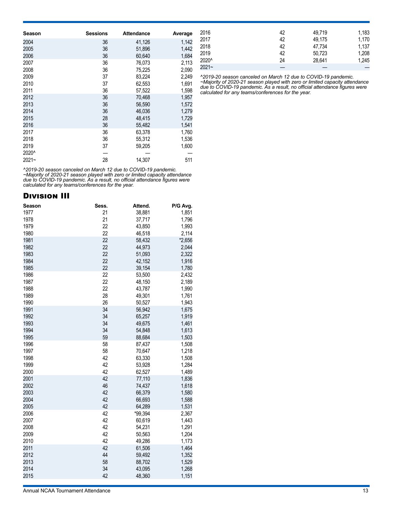| Season | <b>Sessions</b> | <b>Attendance</b> | Average |
|--------|-----------------|-------------------|---------|
| 2004   | 36              | 41,126            | 1,142   |
| 2005   | 36              | 51,896            | 1,442   |
| 2006   | 36              | 60,640            | 1,684   |
| 2007   | 36              | 76,073            | 2,113   |
| 2008   | 36              | 75,225            | 2,090   |
| 2009   | 37              | 83,224            | 2,249   |
| 2010   | 37              | 62,553            | 1,691   |
| 2011   | 36              | 57,522            | 1,598   |
| 2012   | 36              | 70,468            | 1,957   |
| 2013   | 36              | 56,590            | 1,572   |
| 2014   | 36              | 46,036            | 1,279   |
| 2015   | 28              | 48,415            | 1,729   |
| 2016   | 36              | 55,482            | 1,541   |
| 2017   | 36              | 63,378            | 1,760   |
| 2018   | 36              | 55,312            | 1,536   |
| 2019   | 37              | 59,205            | 1,600   |
| 2020^  |                 |                   |         |
| 2021~  | 28              | 14.307            | 511     |

*^2019-20 season canceled on March 12 due to COVID-19 pandemic. ~Majority of 2020-21 season played with zero or limited capacity attendance due to COVID-19 pandemic. As a result, no official attendance figures were calculated for any teams/conferences for the year.*

#### Division III

| Season | Sess. | Attend. | P/G Avg. |
|--------|-------|---------|----------|
| 1977   | 21    | 38,881  | 1,851    |
| 1978   | 21    | 37,717  | 1,796    |
| 1979   | 22    | 43,850  | 1,993    |
| 1980   | 22    | 46,518  | 2,114    |
| 1981   | 22    | 58,432  | *2,656   |
| 1982   | 22    | 44,973  | 2,044    |
| 1983   | 22    | 51,093  | 2,322    |
| 1984   | 22    | 42,152  | 1,916    |
| 1985   | 22    | 39,154  | 1,780    |
| 1986   | 22    | 53,500  | 2,432    |
| 1987   | 22    | 48,150  | 2,189    |
| 1988   | 22    | 43,787  | 1,990    |
| 1989   | 28    | 49,301  | 1,761    |
| 1990   | 26    | 50,527  | 1,943    |
| 1991   | 34    | 56,942  | 1,675    |
| 1992   | 34    | 65,257  | 1,919    |
| 1993   | 34    | 49,675  | 1,461    |
| 1994   | 34    | 54,848  | 1,613    |
| 1995   | 59    | 88,684  | 1,503    |
| 1996   | 58    | 87,437  | 1,508    |
| 1997   | 58    | 70,647  | 1,218    |
| 1998   | 42    | 63,330  | 1,508    |
| 1999   | 42    | 53,928  | 1,284    |
| 2000   | 42    | 62,527  | 1,489    |
| 2001   | 42    | 77,110  | 1,836    |
| 2002   | 46    | 74,437  | 1,618    |
| 2003   | 42    | 66,379  | 1,580    |
| 2004   | 42    | 66,693  | 1,588    |
| 2005   | 42    | 64,289  | 1,531    |
| 2006   | 42    | *99,394 | 2,367    |
| 2007   | 42    | 60,619  | 1,443    |
| 2008   | 42    | 54,231  | 1,291    |
| 2009   | 42    | 50,563  | 1,204    |
| 2010   | 42    | 49,286  | 1,173    |
| 2011   | 42    | 61,506  | 1,464    |
| 2012   | 44    | 59,492  | 1,352    |
| 2013   | 58    | 88,702  | 1,529    |
| 2014   | 34    | 43,095  | 1,268    |
| 2015   | 42    | 48,360  | 1,151    |

| 2016     | 42 | 49.719 | 1,183 |
|----------|----|--------|-------|
| 2017     | 42 | 49.175 | 1,170 |
| 2018     | 42 | 47,734 | 1.137 |
| 2019     | 42 | 50,723 | 1,208 |
| 2020^    | 24 | 28.641 | 1,245 |
| $2021 -$ |    |        |       |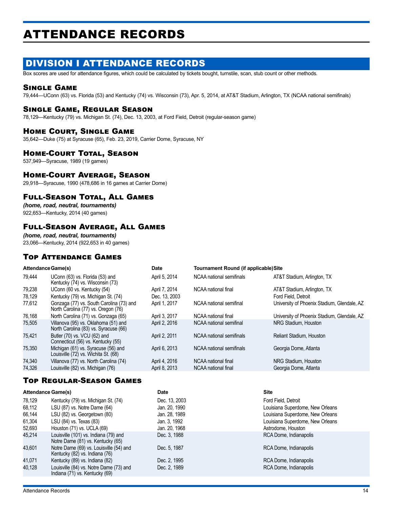# <span id="page-13-0"></span>ATTENDANCE RECORDS

# DIVISION I ATTENDANCE RECORDS

Box scores are used for attendance figures, which could be calculated by tickets bought, turnstile, scan, stub count or other methods.

#### Single Game

79,444—UConn (63) vs. Florida (53) and Kentucky (74) vs. Wisconsin (73), Apr. 5, 2014, at AT&T Stadium, Arlington, TX (NCAA national semifinals)

#### Single Game, Regular Season

78,129—Kentucky (79) vs. Michigan St. (74), Dec. 13, 2003, at Ford Field, Detroit (regular-season game)

#### Home Court, Single Game

35,642—Duke (75) at Syracuse (65), Feb. 23, 2019, Carrier Dome, Syracuse, NY

#### **HOME-COURT TOTAL, SEASON**

537,949—Syracuse, 1989 (19 games)

#### Home-Court Average, Season

29,918—Syracuse, 1990 (478,686 in 16 games at Carrier Dome)

#### Full-Season Total, All Games

*(home, road, neutral, tournaments)* 922,653—Kentucky, 2014 (40 games)

#### Full-Season Average, All Games

*(home, road, neutral, tournaments)* 23,066—Kentucky, 2014 (922,653 in 40 games)

#### Top Attendance Games

| <b>Attendance Game(s)</b> |                                                                                 | <b>Date</b>   | <b>Tournament Round (if applicable)Site</b> |                                             |
|---------------------------|---------------------------------------------------------------------------------|---------------|---------------------------------------------|---------------------------------------------|
| 79.444                    | UConn (63) vs. Florida (53) and<br>Kentucky (74) vs. Wisconsin (73)             | April 5, 2014 | NCAA national semifinals                    | AT&T Stadium, Arlington, TX                 |
| 79,238                    | UConn (60 vs. Kentucky (54)                                                     | April 7, 2014 | NCAA national final                         | AT&T Stadium, Arlington, TX                 |
| 78.129                    | Kentucky (79) vs. Michigan St. (74)                                             | Dec. 13, 2003 |                                             | Ford Field, Detroit                         |
| 77,612                    | Gonzaga (77) vs. South Carolina (73) and<br>North Carolina (77) vs. Oregon (76) | April 1, 2017 | NCAA national semifinal                     | University of Phoenix Stadium, Glendale, AZ |
| 76,168                    | North Carolina (71) vs. Gonzaga (65)                                            | April 3, 2017 | NCAA national final                         | University of Phoenix Stadium, Glendale, AZ |
| 75,505                    | Villanova (95) vs. Oklahoma (51) and<br>North Carolina (83) vs. Syracuse (66)   | April 2, 2016 | NCAA national semifinal                     | NRG Stadium. Houston                        |
| 75,421                    | Butler (70) vs. VCU (62) and<br>Connecticut (56) vs. Kentucky (55)              | April 2, 2011 | NCAA national semifinals                    | <b>Reliant Stadium, Houston</b>             |
| 75.350                    | Michigan (61) vs. Syracuse (56) and<br>Louisville (72) vs. Wichita St. (68)     | April 6, 2013 | NCAA national semifinals                    | Georgia Dome, Atlanta                       |
| 74,340                    | Villanova (77) vs. North Carolina (74)                                          | April 4, 2016 | NCAA national final                         | NRG Stadium. Houston                        |
| 74,326                    | Louisville (82) vs. Michigan (76)                                               | April 8, 2013 | NCAA national final                         | Georgia Dome, Atlanta                       |

#### Top Regular-Season Games

| <b>Attendance Game(s)</b> |                                                                            | <b>Date</b>   | <b>Site</b>                      |
|---------------------------|----------------------------------------------------------------------------|---------------|----------------------------------|
| 78,129                    | Kentucky (79) vs. Michigan St. (74)                                        | Dec. 13, 2003 | Ford Field, Detroit              |
| 68,112                    | LSU (87) vs. Notre Dame (64)                                               | Jan. 20, 1990 | Louisiana Superdome, New Orleans |
| 66,144                    | LSU (82) vs. Georgetown (80)                                               | Jan. 28, 1989 | Louisiana Superdome, New Orleans |
| 61,304                    | LSU (84) vs. Texas (83)                                                    | Jan. 3, 1992  | Louisiana Superdome, New Orleans |
| 52,693                    | Houston (71) vs. UCLA (69)                                                 | Jan. 20, 1968 | Astrodome, Houston               |
| 45.214                    | Louisville (101) vs. Indiana (79) and<br>Notre Dame (81) vs. Kentucky (65) | Dec. 3. 1988  | RCA Dome, Indianapolis           |
| 43,601                    | Notre Dame (69) vs. Louisville (54) and<br>Kentucky (82) vs. Indiana (76)  | Dec. 5, 1987  | RCA Dome, Indianapolis           |
| 41.071                    | Kentucky (89) vs. Indiana (82)                                             | Dec. 2, 1995  | RCA Dome, Indianapolis           |
| 40,128                    | Louisville (84) vs. Notre Dame (73) and<br>Indiana (71) vs. Kentucky (69)  | Dec. 2, 1989  | RCA Dome, Indianapolis           |